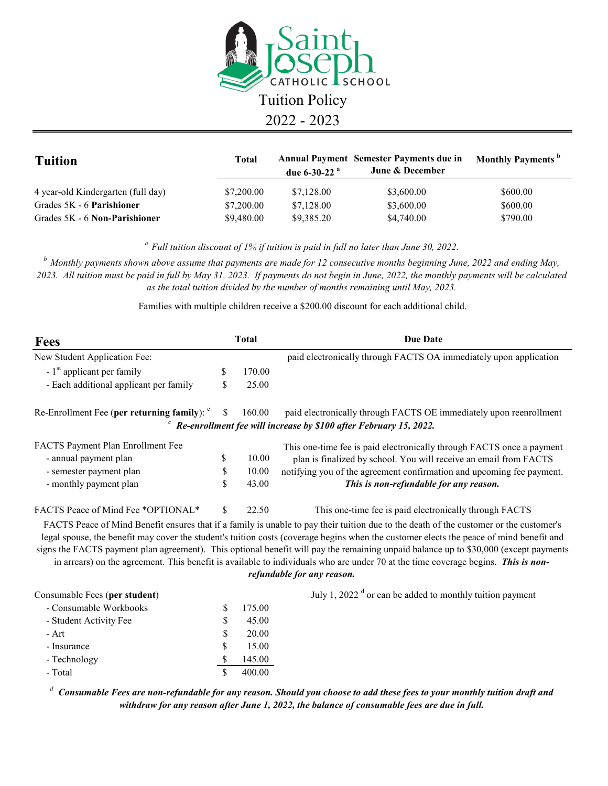

| <b>Tuition</b>                     | <b>Total</b> | due 6-30-22 $^{\rm a}$ | <b>Annual Payment Semester Payments due in</b><br><b>June &amp; December</b> | <b>Monthly Payments</b> <sup>b</sup> |
|------------------------------------|--------------|------------------------|------------------------------------------------------------------------------|--------------------------------------|
| 4 year-old Kindergarten (full day) | \$7,200.00   | \$7,128.00             | \$3,600.00                                                                   | \$600.00                             |
| Grades 5K - 6 Parishioner          | \$7,200.00   | \$7,128.00             | \$3,600.00                                                                   | \$600.00                             |
| Grades 5K - 6 Non-Parishioner      | \$9,480.00   | \$9,385.20             | \$4,740.00                                                                   | \$790.00                             |

*a Full tuition discount of 1% if tuition is paid in full no later than June 30, 2022.*

*b Monthly payments shown above assume that payments are made for 12 consecutive months beginning June, 2022 and ending May, 2023. All tuition must be paid in full by May 31, 2023. If payments do not begin in June, 2022, the monthly payments will be calculated as the total tuition divided by the number of months remaining until May, 2023.* 

Families with multiple children receive a \$200.00 discount for each additional child.

| Fees                                   | <b>Total</b> |        | <b>Due Date</b>                                                                                                                                                                                                                                                                                                                                                                                                                                                                                                                                                                              |  |
|----------------------------------------|--------------|--------|----------------------------------------------------------------------------------------------------------------------------------------------------------------------------------------------------------------------------------------------------------------------------------------------------------------------------------------------------------------------------------------------------------------------------------------------------------------------------------------------------------------------------------------------------------------------------------------------|--|
| New Student Application Fee:           |              |        | paid electronically through FACTS OA immediately upon application                                                                                                                                                                                                                                                                                                                                                                                                                                                                                                                            |  |
| $-1st$ applicant per family            | \$           | 170.00 |                                                                                                                                                                                                                                                                                                                                                                                                                                                                                                                                                                                              |  |
| - Each additional applicant per family | \$           | 25.00  |                                                                                                                                                                                                                                                                                                                                                                                                                                                                                                                                                                                              |  |
|                                        |              | 160.00 | paid electronically through FACTS OE immediately upon reenrollment                                                                                                                                                                                                                                                                                                                                                                                                                                                                                                                           |  |
|                                        |              |        | Re-enrollment fee will increase by \$100 after February 15, 2022.                                                                                                                                                                                                                                                                                                                                                                                                                                                                                                                            |  |
| FACTS Payment Plan Enrollment Fee      |              |        | This one-time fee is paid electronically through FACTS once a payment                                                                                                                                                                                                                                                                                                                                                                                                                                                                                                                        |  |
| - annual payment plan                  | \$           | 10.00  | plan is finalized by school. You will receive an email from FACTS                                                                                                                                                                                                                                                                                                                                                                                                                                                                                                                            |  |
| - semester payment plan                | \$           | 10.00  | notifying you of the agreement confirmation and upcoming fee payment.                                                                                                                                                                                                                                                                                                                                                                                                                                                                                                                        |  |
| - monthly payment plan                 | \$           | 43.00  | This is non-refundable for any reason.                                                                                                                                                                                                                                                                                                                                                                                                                                                                                                                                                       |  |
| FACTS Peace of Mind Fee *OPTIONAL*     | \$           | 22.50  | This one-time fee is paid electronically through FACTS                                                                                                                                                                                                                                                                                                                                                                                                                                                                                                                                       |  |
|                                        |              |        | FACTS Peace of Mind Benefit ensures that if a family is unable to pay their tuition due to the death of the customer or the customer's<br>legal spouse, the benefit may cover the student's tuition costs (coverage begins when the customer elects the peace of mind benefit and<br>signs the FACTS payment plan agreement). This optional benefit will pay the remaining unpaid balance up to \$30,000 (except payments<br>in arrears) on the agreement. This benefit is available to individuals who are under 70 at the time coverage begins. This is non-<br>refundable for any reason. |  |
| Consumable Fees (per student)          |              |        | July 1, 2022 $\textdegree$ or can be added to monthly tuition payment                                                                                                                                                                                                                                                                                                                                                                                                                                                                                                                        |  |
| - Consumable Workbooks                 | \$           | 175.00 |                                                                                                                                                                                                                                                                                                                                                                                                                                                                                                                                                                                              |  |
| - Student Activity Fee                 | \$           | 45.00  |                                                                                                                                                                                                                                                                                                                                                                                                                                                                                                                                                                                              |  |
| - Art                                  | \$           | 20.00  |                                                                                                                                                                                                                                                                                                                                                                                                                                                                                                                                                                                              |  |
| - Insurance                            | \$           | 15.00  |                                                                                                                                                                                                                                                                                                                                                                                                                                                                                                                                                                                              |  |
| - Technology                           | \$           | 145.00 |                                                                                                                                                                                                                                                                                                                                                                                                                                                                                                                                                                                              |  |
| - Total                                | \$           | 400.00 |                                                                                                                                                                                                                                                                                                                                                                                                                                                                                                                                                                                              |  |

*<sup>d</sup> Consumable Fees are non-refundable for any reason. Should you choose to add these fees to your monthly tuition draft and withdraw for any reason after June 1, 2022, the balance of consumable fees are due in full.*